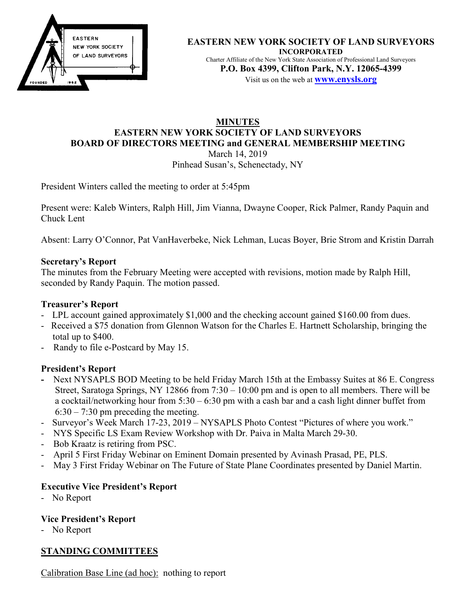

#### **EASTERN NEW YORK SOCIETY OF LAND SURVEYORS INCORPORATED**  Charter Affiliate of the New York State Association of Professional Land Surveyors **P.O. Box 4399, Clifton Park, N.Y. 12065-4399**  Visit us on the web at **www.enysls.org**

#### **MINUTES EASTERN NEW YORK SOCIETY OF LAND SURVEYORS BOARD OF DIRECTORS MEETING and GENERAL MEMBERSHIP MEETING**  March 14, 2019

Pinhead Susan's, Schenectady, NY

President Winters called the meeting to order at 5:45pm

Present were: Kaleb Winters, Ralph Hill, Jim Vianna, Dwayne Cooper, Rick Palmer, Randy Paquin and Chuck Lent

Absent: Larry O'Connor, Pat VanHaverbeke, Nick Lehman, Lucas Boyer, Brie Strom and Kristin Darrah

#### **Secretary's Report**

The minutes from the February Meeting were accepted with revisions, motion made by Ralph Hill, seconded by Randy Paquin. The motion passed.

## **Treasurer's Report**

- LPL account gained approximately \$1,000 and the checking account gained \$160.00 from dues.
- Received a \$75 donation from Glennon Watson for the Charles E. Hartnett Scholarship, bringing the total up to \$400.
- Randy to file e-Postcard by May 15.

### **President's Report**

- Next NYSAPLS BOD Meeting to be held Friday March 15th at the Embassy Suites at 86 E. Congress Street, Saratoga Springs, NY 12866 from 7:30 – 10:00 pm and is open to all members. There will be a cocktail/networking hour from 5:30 – 6:30 pm with a cash bar and a cash light dinner buffet from  $6:30 - 7:30$  pm preceding the meeting.
- Surveyor's Week March 17-23, 2019 NYSAPLS Photo Contest "Pictures of where you work."
- NYS Specific LS Exam Review Workshop with Dr. Paiva in Malta March 29-30.
- Bob Kraatz is retiring from PSC.
- April 5 First Friday Webinar on Eminent Domain presented by Avinash Prasad, PE, PLS.
- May 3 First Friday Webinar on The Future of State Plane Coordinates presented by Daniel Martin.

### **Executive Vice President's Report**

- No Report

### **Vice President's Report**

- No Report

### **STANDING COMMITTEES**

Calibration Base Line (ad hoc): nothing to report